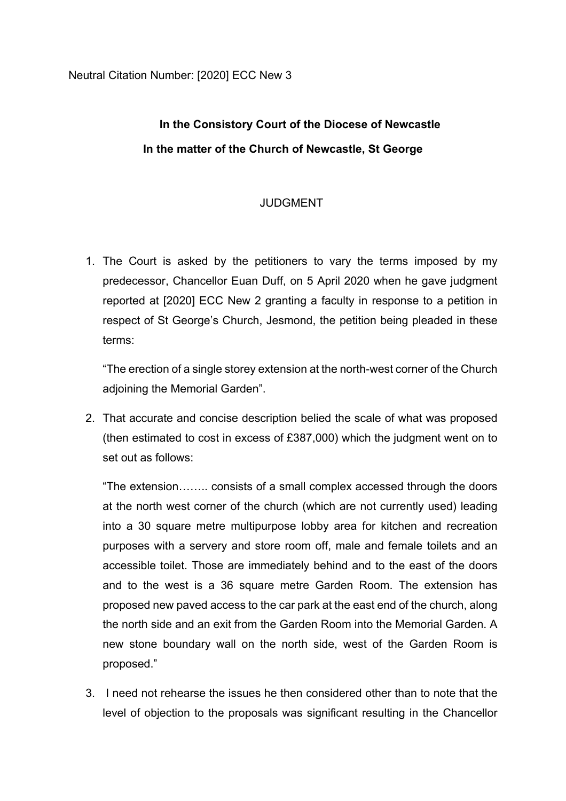## **In the Consistory Court of the Diocese of Newcastle In the matter of the Church of Newcastle, St George**

## JUDGMENT

1. The Court is asked by the petitioners to vary the terms imposed by my predecessor, Chancellor Euan Duff, on 5 April 2020 when he gave judgment reported at [2020] ECC New 2 granting a faculty in response to a petition in respect of St George's Church, Jesmond, the petition being pleaded in these terms:

"The erection of a single storey extension at the north-west corner of the Church adjoining the Memorial Garden".

2. That accurate and concise description belied the scale of what was proposed (then estimated to cost in excess of £387,000) which the judgment went on to set out as follows:

"The extension…….. consists of a small complex accessed through the doors at the north west corner of the church (which are not currently used) leading into a 30 square metre multipurpose lobby area for kitchen and recreation purposes with a servery and store room off, male and female toilets and an accessible toilet. Those are immediately behind and to the east of the doors and to the west is a 36 square metre Garden Room. The extension has proposed new paved access to the car park at the east end of the church, along the north side and an exit from the Garden Room into the Memorial Garden. A new stone boundary wall on the north side, west of the Garden Room is proposed."

3. I need not rehearse the issues he then considered other than to note that the level of objection to the proposals was significant resulting in the Chancellor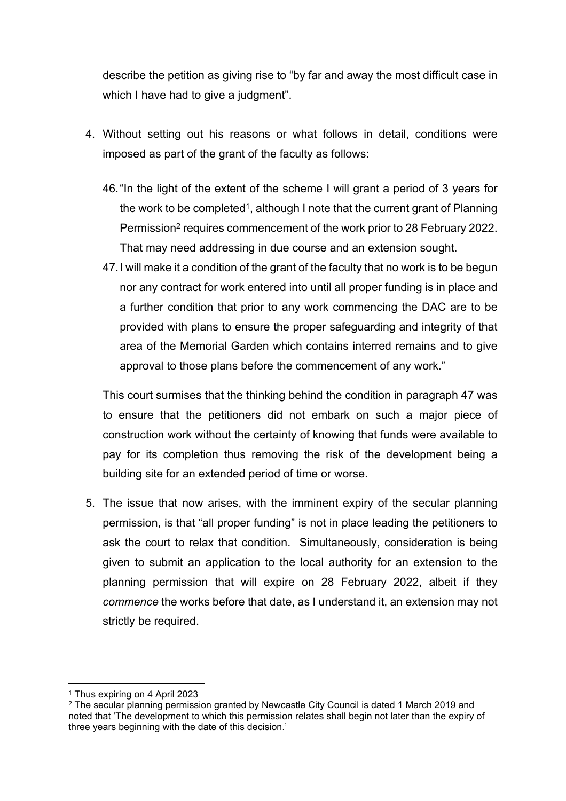describe the petition as giving rise to "by far and away the most difficult case in which I have had to give a judgment".

- 4. Without setting out his reasons or what follows in detail, conditions were imposed as part of the grant of the faculty as follows:
	- 46."In the light of the extent of the scheme I will grant a period of 3 years for the work to be completed<sup>1</sup>, although I note that the current grant of Planning Permission<sup>2</sup> requires commencement of the work prior to 28 February 2022. That may need addressing in due course and an extension sought.
	- 47.I will make it a condition of the grant of the faculty that no work is to be begun nor any contract for work entered into until all proper funding is in place and a further condition that prior to any work commencing the DAC are to be provided with plans to ensure the proper safeguarding and integrity of that area of the Memorial Garden which contains interred remains and to give approval to those plans before the commencement of any work."

This court surmises that the thinking behind the condition in paragraph 47 was to ensure that the petitioners did not embark on such a major piece of construction work without the certainty of knowing that funds were available to pay for its completion thus removing the risk of the development being a building site for an extended period of time or worse.

5. The issue that now arises, with the imminent expiry of the secular planning permission, is that "all proper funding" is not in place leading the petitioners to ask the court to relax that condition. Simultaneously, consideration is being given to submit an application to the local authority for an extension to the planning permission that will expire on 28 February 2022, albeit if they *commence* the works before that date, as I understand it, an extension may not strictly be required.

<sup>1</sup> Thus expiring on 4 April 2023

<sup>&</sup>lt;sup>2</sup> The secular planning permission granted by Newcastle City Council is dated 1 March 2019 and noted that 'The development to which this permission relates shall begin not later than the expiry of three years beginning with the date of this decision.'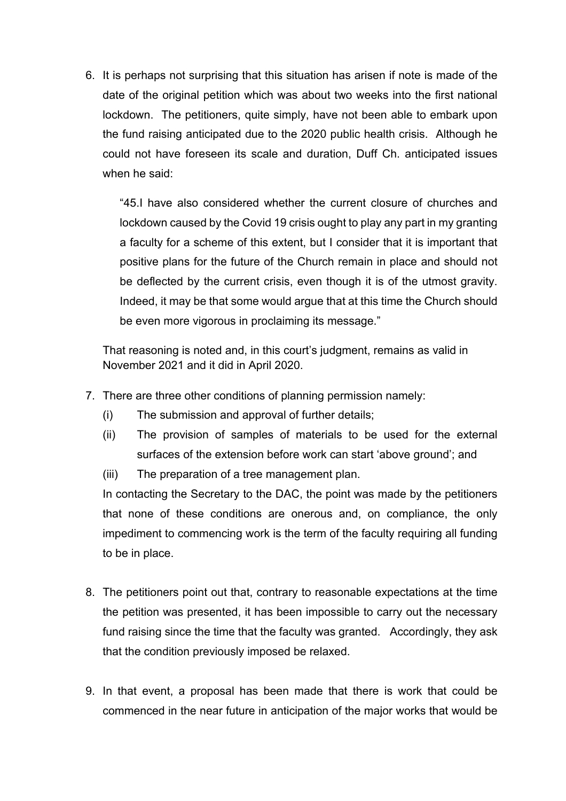6. It is perhaps not surprising that this situation has arisen if note is made of the date of the original petition which was about two weeks into the first national lockdown. The petitioners, quite simply, have not been able to embark upon the fund raising anticipated due to the 2020 public health crisis. Although he could not have foreseen its scale and duration, Duff Ch. anticipated issues when he said:

"45.I have also considered whether the current closure of churches and lockdown caused by the Covid 19 crisis ought to play any part in my granting a faculty for a scheme of this extent, but I consider that it is important that positive plans for the future of the Church remain in place and should not be deflected by the current crisis, even though it is of the utmost gravity. Indeed, it may be that some would argue that at this time the Church should be even more vigorous in proclaiming its message."

That reasoning is noted and, in this court's judgment, remains as valid in November 2021 and it did in April 2020.

- 7. There are three other conditions of planning permission namely:
	- (i) The submission and approval of further details;
	- (ii) The provision of samples of materials to be used for the external surfaces of the extension before work can start 'above ground'; and
	- (iii) The preparation of a tree management plan.

In contacting the Secretary to the DAC, the point was made by the petitioners that none of these conditions are onerous and, on compliance, the only impediment to commencing work is the term of the faculty requiring all funding to be in place.

- 8. The petitioners point out that, contrary to reasonable expectations at the time the petition was presented, it has been impossible to carry out the necessary fund raising since the time that the faculty was granted. Accordingly, they ask that the condition previously imposed be relaxed.
- 9. In that event, a proposal has been made that there is work that could be commenced in the near future in anticipation of the major works that would be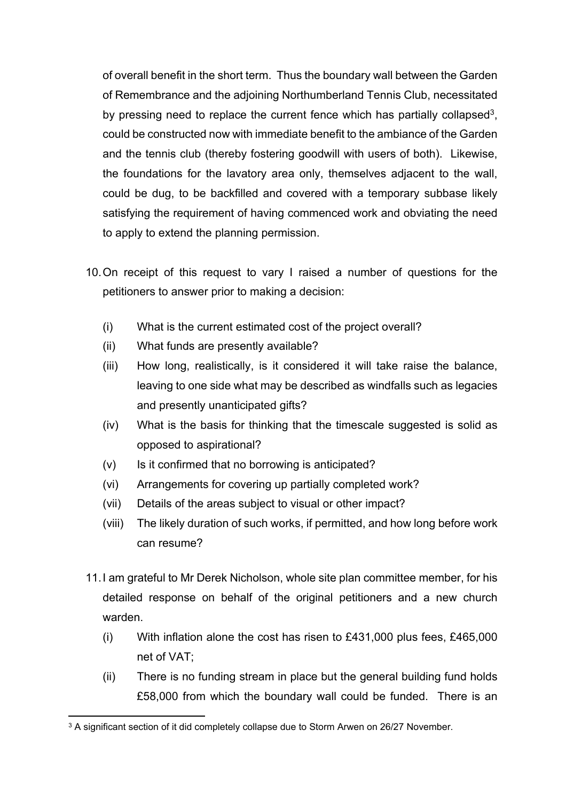of overall benefit in the short term. Thus the boundary wall between the Garden of Remembrance and the adjoining Northumberland Tennis Club, necessitated by pressing need to replace the current fence which has partially collapsed<sup>3</sup>, could be constructed now with immediate benefit to the ambiance of the Garden and the tennis club (thereby fostering goodwill with users of both). Likewise, the foundations for the lavatory area only, themselves adjacent to the wall, could be dug, to be backfilled and covered with a temporary subbase likely satisfying the requirement of having commenced work and obviating the need to apply to extend the planning permission.

- 10.On receipt of this request to vary I raised a number of questions for the petitioners to answer prior to making a decision:
	- (i) What is the current estimated cost of the project overall?
	- (ii) What funds are presently available?
	- (iii) How long, realistically, is it considered it will take raise the balance, leaving to one side what may be described as windfalls such as legacies and presently unanticipated gifts?
	- (iv) What is the basis for thinking that the timescale suggested is solid as opposed to aspirational?
	- (v) Is it confirmed that no borrowing is anticipated?
	- (vi) Arrangements for covering up partially completed work?
	- (vii) Details of the areas subject to visual or other impact?
	- (viii) The likely duration of such works, if permitted, and how long before work can resume?
- 11.I am grateful to Mr Derek Nicholson, whole site plan committee member, for his detailed response on behalf of the original petitioners and a new church warden.
	- (i) With inflation alone the cost has risen to £431,000 plus fees, £465,000 net of VAT;
	- (ii) There is no funding stream in place but the general building fund holds £58,000 from which the boundary wall could be funded. There is an

<sup>&</sup>lt;sup>3</sup> A significant section of it did completely collapse due to Storm Arwen on 26/27 November.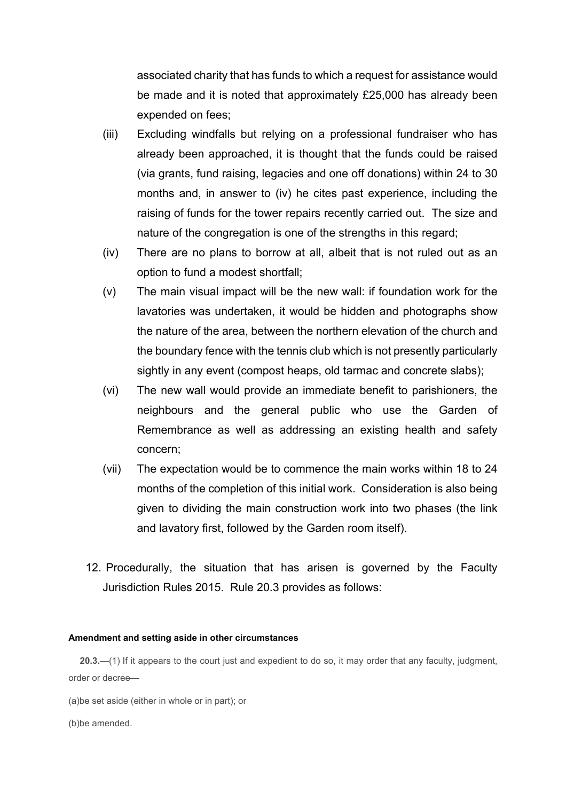associated charity that has funds to which a request for assistance would be made and it is noted that approximately £25,000 has already been expended on fees;

- (iii) Excluding windfalls but relying on a professional fundraiser who has already been approached, it is thought that the funds could be raised (via grants, fund raising, legacies and one off donations) within 24 to 30 months and, in answer to (iv) he cites past experience, including the raising of funds for the tower repairs recently carried out. The size and nature of the congregation is one of the strengths in this regard;
- (iv) There are no plans to borrow at all, albeit that is not ruled out as an option to fund a modest shortfall;
- (v) The main visual impact will be the new wall: if foundation work for the lavatories was undertaken, it would be hidden and photographs show the nature of the area, between the northern elevation of the church and the boundary fence with the tennis club which is not presently particularly sightly in any event (compost heaps, old tarmac and concrete slabs);
- (vi) The new wall would provide an immediate benefit to parishioners, the neighbours and the general public who use the Garden of Remembrance as well as addressing an existing health and safety concern;
- (vii) The expectation would be to commence the main works within 18 to 24 months of the completion of this initial work. Consideration is also being given to dividing the main construction work into two phases (the link and lavatory first, followed by the Garden room itself).
- 12. Procedurally, the situation that has arisen is governed by the Faculty Jurisdiction Rules 2015. Rule 20.3 provides as follows:

## **Amendment and setting aside in other circumstances**

**20.3.**—(1) If it appears to the court just and expedient to do so, it may order that any faculty, judgment, order or decree—

(a)be set aside (either in whole or in part); or

(b)be amended.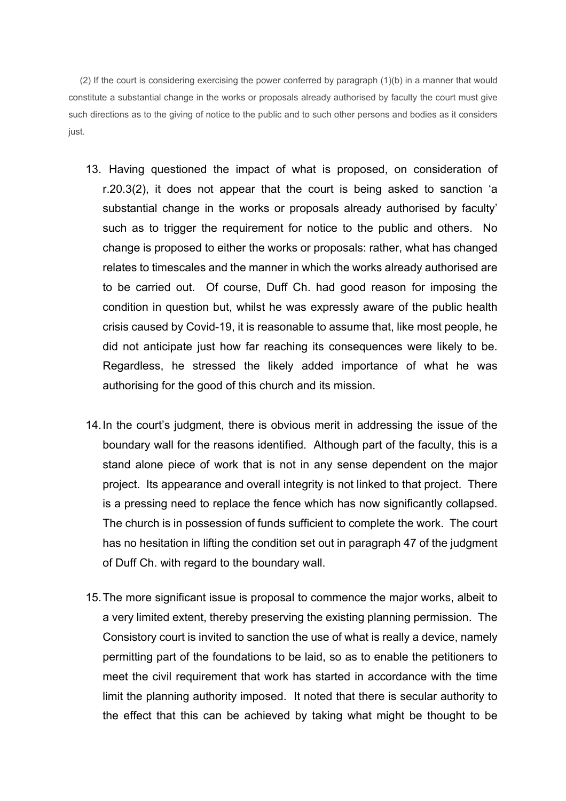(2) If the court is considering exercising the power conferred by paragraph (1)(b) in a manner that would constitute a substantial change in the works or proposals already authorised by faculty the court must give such directions as to the giving of notice to the public and to such other persons and bodies as it considers just.

- 13. Having questioned the impact of what is proposed, on consideration of r.20.3(2), it does not appear that the court is being asked to sanction 'a substantial change in the works or proposals already authorised by faculty' such as to trigger the requirement for notice to the public and others. No change is proposed to either the works or proposals: rather, what has changed relates to timescales and the manner in which the works already authorised are to be carried out. Of course, Duff Ch. had good reason for imposing the condition in question but, whilst he was expressly aware of the public health crisis caused by Covid-19, it is reasonable to assume that, like most people, he did not anticipate just how far reaching its consequences were likely to be. Regardless, he stressed the likely added importance of what he was authorising for the good of this church and its mission.
- 14.In the court's judgment, there is obvious merit in addressing the issue of the boundary wall for the reasons identified. Although part of the faculty, this is a stand alone piece of work that is not in any sense dependent on the major project. Its appearance and overall integrity is not linked to that project. There is a pressing need to replace the fence which has now significantly collapsed. The church is in possession of funds sufficient to complete the work. The court has no hesitation in lifting the condition set out in paragraph 47 of the judgment of Duff Ch. with regard to the boundary wall.
- 15.The more significant issue is proposal to commence the major works, albeit to a very limited extent, thereby preserving the existing planning permission. The Consistory court is invited to sanction the use of what is really a device, namely permitting part of the foundations to be laid, so as to enable the petitioners to meet the civil requirement that work has started in accordance with the time limit the planning authority imposed. It noted that there is secular authority to the effect that this can be achieved by taking what might be thought to be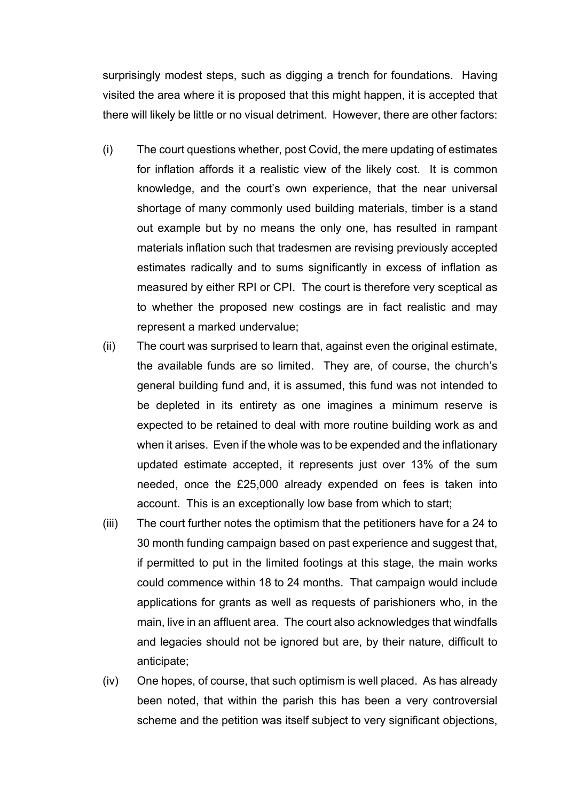surprisingly modest steps, such as digging a trench for foundations. Having visited the area where it is proposed that this might happen, it is accepted that there will likely be little or no visual detriment. However, there are other factors:

- (i) The court questions whether, post Covid, the mere updating of estimates for inflation affords it a realistic view of the likely cost. It is common knowledge, and the court's own experience, that the near universal shortage of many commonly used building materials, timber is a stand out example but by no means the only one, has resulted in rampant materials inflation such that tradesmen are revising previously accepted estimates radically and to sums significantly in excess of inflation as measured by either RPI or CPI. The court is therefore very sceptical as to whether the proposed new costings are in fact realistic and may represent a marked undervalue;
- (ii) The court was surprised to learn that, against even the original estimate, the available funds are so limited. They are, of course, the church's general building fund and, it is assumed, this fund was not intended to be depleted in its entirety as one imagines a minimum reserve is expected to be retained to deal with more routine building work as and when it arises. Even if the whole was to be expended and the inflationary updated estimate accepted, it represents just over 13% of the sum needed, once the £25,000 already expended on fees is taken into account. This is an exceptionally low base from which to start;
- (iii) The court further notes the optimism that the petitioners have for a 24 to 30 month funding campaign based on past experience and suggest that, if permitted to put in the limited footings at this stage, the main works could commence within 18 to 24 months. That campaign would include applications for grants as well as requests of parishioners who, in the main, live in an affluent area. The court also acknowledges that windfalls and legacies should not be ignored but are, by their nature, difficult to anticipate;
- (iv) One hopes, of course, that such optimism is well placed. As has already been noted, that within the parish this has been a very controversial scheme and the petition was itself subject to very significant objections,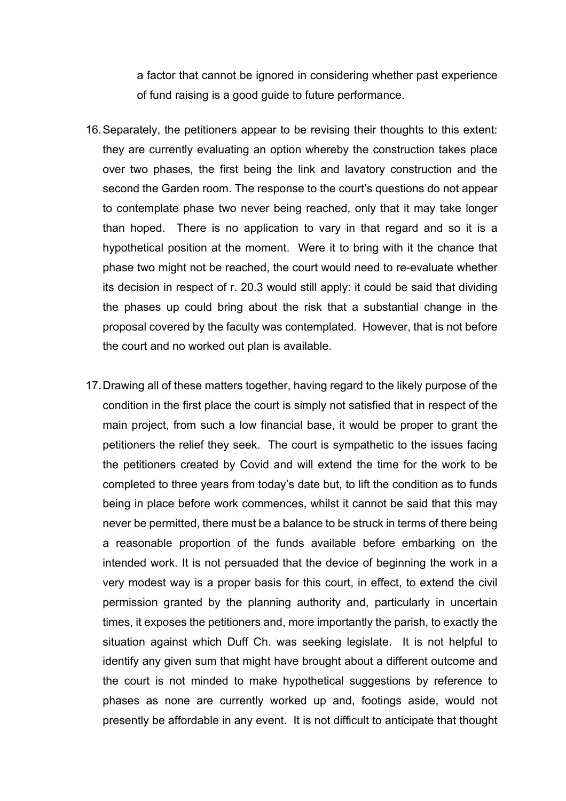a factor that cannot be ignored in considering whether past experience of fund raising is a good guide to future performance.

- 16.Separately, the petitioners appear to be revising their thoughts to this extent: they are currently evaluating an option whereby the construction takes place over two phases, the first being the link and lavatory construction and the second the Garden room. The response to the court's questions do not appear to contemplate phase two never being reached, only that it may take longer than hoped. There is no application to vary in that regard and so it is a hypothetical position at the moment. Were it to bring with it the chance that phase two might not be reached, the court would need to re-evaluate whether its decision in respect of r. 20.3 would still apply: it could be said that dividing the phases up could bring about the risk that a substantial change in the proposal covered by the faculty was contemplated. However, that is not before the court and no worked out plan is available.
- 17.Drawing all of these matters together, having regard to the likely purpose of the condition in the first place the court is simply not satisfied that in respect of the main project, from such a low financial base, it would be proper to grant the petitioners the relief they seek. The court is sympathetic to the issues facing the petitioners created by Covid and will extend the time for the work to be completed to three years from today's date but, to lift the condition as to funds being in place before work commences, whilst it cannot be said that this may never be permitted, there must be a balance to be struck in terms of there being a reasonable proportion of the funds available before embarking on the intended work. It is not persuaded that the device of beginning the work in a very modest way is a proper basis for this court, in effect, to extend the civil permission granted by the planning authority and, particularly in uncertain times, it exposes the petitioners and, more importantly the parish, to exactly the situation against which Duff Ch. was seeking legislate. It is not helpful to identify any given sum that might have brought about a different outcome and the court is not minded to make hypothetical suggestions by reference to phases as none are currently worked up and, footings aside, would not presently be affordable in any event. It is not difficult to anticipate that thought